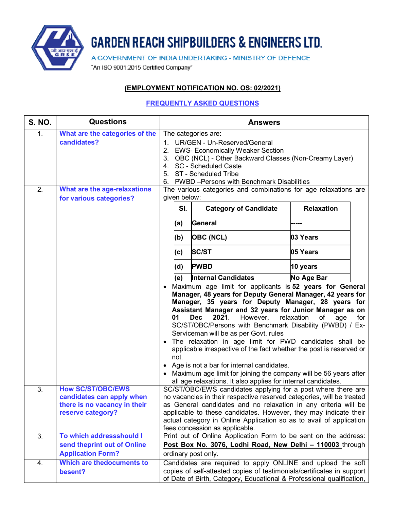

## **GARDEN REACH SHIPBUILDERS & ENGINEERS LTD.**

A GOVERNMENT OF INDIA UNDERTAKING - MINISTRY OF DEFENCE

"An ISO 9001:2015 Certified Company"

## **(EMPLOYMENT NOTIFICATION NO. OS: 02/2021)**

## **FREQUENTLY ASKED QUESTIONS**

| <b>S. NO.</b>    | <b>Questions</b>                                                               | <b>Answers</b>                                                                  |            |                                                                                                                                                                                                                                                                                                                                                                                                                                                                                                                                                                                                                                                                                                                                                                     |                         |     |
|------------------|--------------------------------------------------------------------------------|---------------------------------------------------------------------------------|------------|---------------------------------------------------------------------------------------------------------------------------------------------------------------------------------------------------------------------------------------------------------------------------------------------------------------------------------------------------------------------------------------------------------------------------------------------------------------------------------------------------------------------------------------------------------------------------------------------------------------------------------------------------------------------------------------------------------------------------------------------------------------------|-------------------------|-----|
| 1.               | What are the categories of the<br>candidates?                                  | 1.<br>2.<br>6.                                                                  |            | The categories are:<br>UR/GEN - Un-Reserved/General<br><b>EWS- Economically Weaker Section</b><br>3. OBC (NCL) - Other Backward Classes (Non-Creamy Layer)<br>4. SC - Scheduled Caste<br>5. ST - Scheduled Tribe<br>PWBD-Persons with Benchmark Disabilities                                                                                                                                                                                                                                                                                                                                                                                                                                                                                                        |                         |     |
| 2.               | What are the age-relaxations                                                   | The various categories and combinations for age relaxations are<br>given below: |            |                                                                                                                                                                                                                                                                                                                                                                                                                                                                                                                                                                                                                                                                                                                                                                     |                         |     |
|                  | for various categories?                                                        |                                                                                 | SI.        | <b>Category of Candidate</b>                                                                                                                                                                                                                                                                                                                                                                                                                                                                                                                                                                                                                                                                                                                                        | <b>Relaxation</b>       |     |
|                  |                                                                                |                                                                                 | (a)        | General                                                                                                                                                                                                                                                                                                                                                                                                                                                                                                                                                                                                                                                                                                                                                             |                         |     |
|                  |                                                                                |                                                                                 | (b)        | <b>OBC (NCL)</b>                                                                                                                                                                                                                                                                                                                                                                                                                                                                                                                                                                                                                                                                                                                                                    | 03 Years                |     |
|                  |                                                                                |                                                                                 | (c)        | <b>SC/ST</b>                                                                                                                                                                                                                                                                                                                                                                                                                                                                                                                                                                                                                                                                                                                                                        | 05 Years                |     |
|                  |                                                                                |                                                                                 | (d)        | <b>PWBD</b>                                                                                                                                                                                                                                                                                                                                                                                                                                                                                                                                                                                                                                                                                                                                                         | 10 years                |     |
|                  |                                                                                |                                                                                 | (e)        | <b>Internal Candidates</b>                                                                                                                                                                                                                                                                                                                                                                                                                                                                                                                                                                                                                                                                                                                                          | No Age Bar              |     |
| $\overline{3}$ . | <b>How SC/ST/OBC/EWS</b>                                                       |                                                                                 | 01<br>not. | Maximum age limit for applicants is 52 years for General<br>Manager, 48 years for Deputy General Manager, 42 years for<br>Manager, 35 years for Deputy Manager, 28 years for<br>Assistant Manager and 32 years for Junior Manager as on<br>2021.<br>However,<br><b>Dec</b><br>SC/ST/OBC/Persons with Benchmark Disability (PWBD) / Ex-<br>Serviceman will be as per Govt. rules<br>The relaxation in age limit for PWD candidates shall be<br>applicable irrespective of the fact whether the post is reserved or<br>Age is not a bar for internal candidates.<br>Maximum age limit for joining the company will be 56 years after<br>all age relaxations. It also applies for internal candidates.<br>SC/ST/OBC/EWS candidates applying for a post where there are | relaxation<br>οf<br>age | for |
|                  | candidates can apply when<br>there is no vacancy in their<br>reserve category? |                                                                                 |            | no vacancies in their respective reserved categories, will be treated<br>as General candidates and no relaxation in any criteria will be<br>applicable to these candidates. However, they may indicate their<br>actual category in Online Application so as to avail of application<br>fees concession as applicable.                                                                                                                                                                                                                                                                                                                                                                                                                                               |                         |     |
| 3.               | To which addressshould I                                                       |                                                                                 |            | Print out of Online Application Form to be sent on the address:                                                                                                                                                                                                                                                                                                                                                                                                                                                                                                                                                                                                                                                                                                     |                         |     |
|                  | send theprint out of Online<br><b>Application Form?</b>                        |                                                                                 |            | Post Box No. 3076, Lodhi Road, New Delhi - 110003 through<br>ordinary post only.                                                                                                                                                                                                                                                                                                                                                                                                                                                                                                                                                                                                                                                                                    |                         |     |
| 4.               | Which are thedocuments to<br>besent?                                           |                                                                                 |            | Candidates are required to apply ONLINE and upload the soft<br>copies of self-attested copies of testimonials/certificates in support<br>of Date of Birth, Category, Educational & Professional qualification,                                                                                                                                                                                                                                                                                                                                                                                                                                                                                                                                                      |                         |     |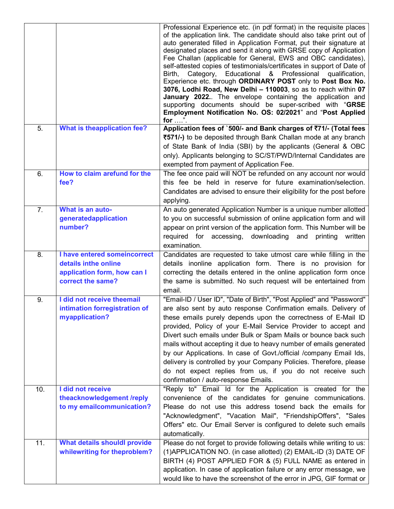|                  |                                                      | Professional Experience etc. (in pdf format) in the requisite places<br>of the application link. The candidate should also take print out of<br>auto generated filled in Application Format, put their signature at<br>designated places and send it along with GRSE copy of Application<br>Fee Challan (applicable for General, EWS and OBC candidates),<br>self-attested copies of testimonials/certificates in support of Date of<br>Category,<br>Educational & Professional<br>Birth,<br>qualification,<br>Experience etc. through ORDINARY POST only to Post Box No.<br>3076, Lodhi Road, New Delhi - 110003, so as to reach within 07<br>January 2022 The envelope containing the application and<br>supporting documents should be super-scribed with "GRSE<br>Employment Notification No. OS: 02/2021" and "Post Applied<br>for $\dots$ ". |
|------------------|------------------------------------------------------|----------------------------------------------------------------------------------------------------------------------------------------------------------------------------------------------------------------------------------------------------------------------------------------------------------------------------------------------------------------------------------------------------------------------------------------------------------------------------------------------------------------------------------------------------------------------------------------------------------------------------------------------------------------------------------------------------------------------------------------------------------------------------------------------------------------------------------------------------|
| 5.               | <b>What is theapplication fee?</b>                   | Application fees of `500/- and Bank charges of ₹71/- (Total fees<br>₹571/-) to be deposited through Bank Challan mode at any branch                                                                                                                                                                                                                                                                                                                                                                                                                                                                                                                                                                                                                                                                                                                |
|                  |                                                      | of State Bank of India (SBI) by the applicants (General & OBC<br>only). Applicants belonging to SC/ST/PWD/Internal Candidates are<br>exempted from payment of Application Fee.                                                                                                                                                                                                                                                                                                                                                                                                                                                                                                                                                                                                                                                                     |
| 6.               | How to claim arefund for the                         | The fee once paid will NOT be refunded on any account nor would                                                                                                                                                                                                                                                                                                                                                                                                                                                                                                                                                                                                                                                                                                                                                                                    |
|                  | fee?                                                 | this fee be held in reserve for future examination/selection.<br>Candidates are advised to ensure their eligibility for the post before<br>applying.                                                                                                                                                                                                                                                                                                                                                                                                                                                                                                                                                                                                                                                                                               |
| 7.               | What is an auto-                                     | An auto generated Application Number is a unique number allotted                                                                                                                                                                                                                                                                                                                                                                                                                                                                                                                                                                                                                                                                                                                                                                                   |
|                  | generatedapplication<br>number?                      | to you on successful submission of online application form and will<br>appear on print version of the application form. This Number will be<br>required for<br>accessing, downloading<br>and<br>printing<br>written<br>examination.                                                                                                                                                                                                                                                                                                                                                                                                                                                                                                                                                                                                                |
| $\overline{8}$ . | I have entered someincorrect<br>details inthe online | Candidates are requested to take utmost care while filling in the<br>details inonline application form. There is no provision for                                                                                                                                                                                                                                                                                                                                                                                                                                                                                                                                                                                                                                                                                                                  |
|                  | application form, how can I<br>correct the same?     | correcting the details entered in the online application form once<br>the same is submitted. No such request will be entertained from<br>email.                                                                                                                                                                                                                                                                                                                                                                                                                                                                                                                                                                                                                                                                                                    |
| 9.               | I did not receive theemail                           | "Email-ID / User ID", "Date of Birth", "Post Applied" and "Password"                                                                                                                                                                                                                                                                                                                                                                                                                                                                                                                                                                                                                                                                                                                                                                               |
|                  | intimation forregistration of<br>myapplication?      | are also sent by auto response Confirmation emails. Delivery of<br>these emails purely depends upon the correctness of E-Mail ID<br>provided, Policy of your E-Mail Service Provider to accept and<br>Divert such emails under Bulk or Spam Mails or bounce back such<br>mails without accepting it due to heavy number of emails generated<br>by our Applications. In case of Govt./official /company Email Ids,<br>delivery is controlled by your Company Policies. Therefore, please<br>do not expect replies from us, if you do not receive such<br>confirmation / auto-response Emails.                                                                                                                                                                                                                                                       |
| 10.              | I did not receive<br>theacknowledgement /reply       | "Reply to" Email Id for the Application is created for the<br>convenience of the candidates for genuine communications.                                                                                                                                                                                                                                                                                                                                                                                                                                                                                                                                                                                                                                                                                                                            |
|                  | to my emailcommunication?                            | Please do not use this address tosend back the emails for<br>"Acknowledgment", "Vacation Mail", "FriendshipOffers", "Sales<br>Offers" etc. Our Email Server is configured to delete such emails<br>automatically.                                                                                                                                                                                                                                                                                                                                                                                                                                                                                                                                                                                                                                  |
| 11.              | <b>What details shouldl provide</b>                  | Please do not forget to provide following details while writing to us:                                                                                                                                                                                                                                                                                                                                                                                                                                                                                                                                                                                                                                                                                                                                                                             |
|                  | whilewriting for theproblem?                         | (1) APPLICATION NO. (in case allotted) (2) EMAIL-ID (3) DATE OF<br>BIRTH (4) POST APPLIED FOR & (5) FULL NAME as entered in<br>application. In case of application failure or any error message, we<br>would like to have the screenshot of the error in JPG, GIF format or                                                                                                                                                                                                                                                                                                                                                                                                                                                                                                                                                                        |